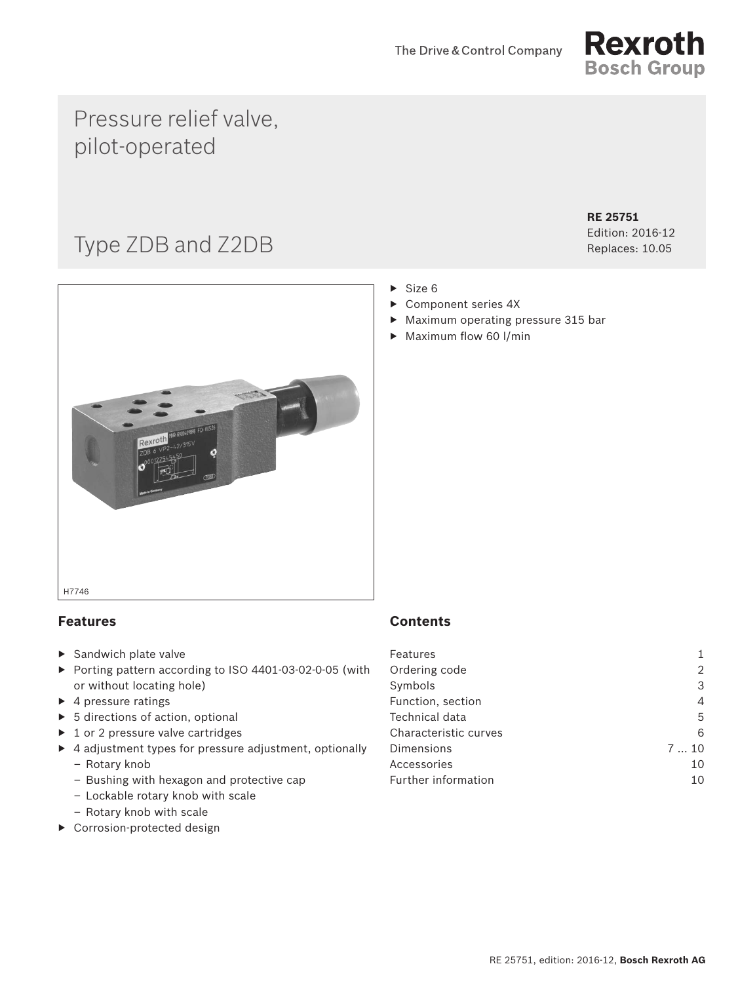

## Pressure relief valve, pilot-operated

# Type ZDB and Z2DB

**RE 25751** Edition: 2016-12

Replaces: 10.05



## **Features**

- ▶ Sandwich plate valve
- ▶ Porting pattern according to ISO 4401-03-02-0-05 (with or without locating hole)
- $\blacktriangleright$  4 pressure ratings
- ▶ 5 directions of action, optional
- ▶ 1 or 2 pressure valve cartridges
- ▶ 4 adjustment types for pressure adjustment, optionally
	- Rotary knob
	- Bushing with hexagon and protective cap
	- Lockable rotary knob with scale
	- Rotary knob with scale
- ▶ Corrosion-protected design

## **Contents**

| Features              |     |
|-----------------------|-----|
| Ordering code         |     |
| Symbols               | 3   |
| Function, section     | 4   |
| Technical data        | 5   |
| Characteristic curves | 6   |
| Dimensions            | 710 |
| Accessories           | 10  |
| Further information   | 10  |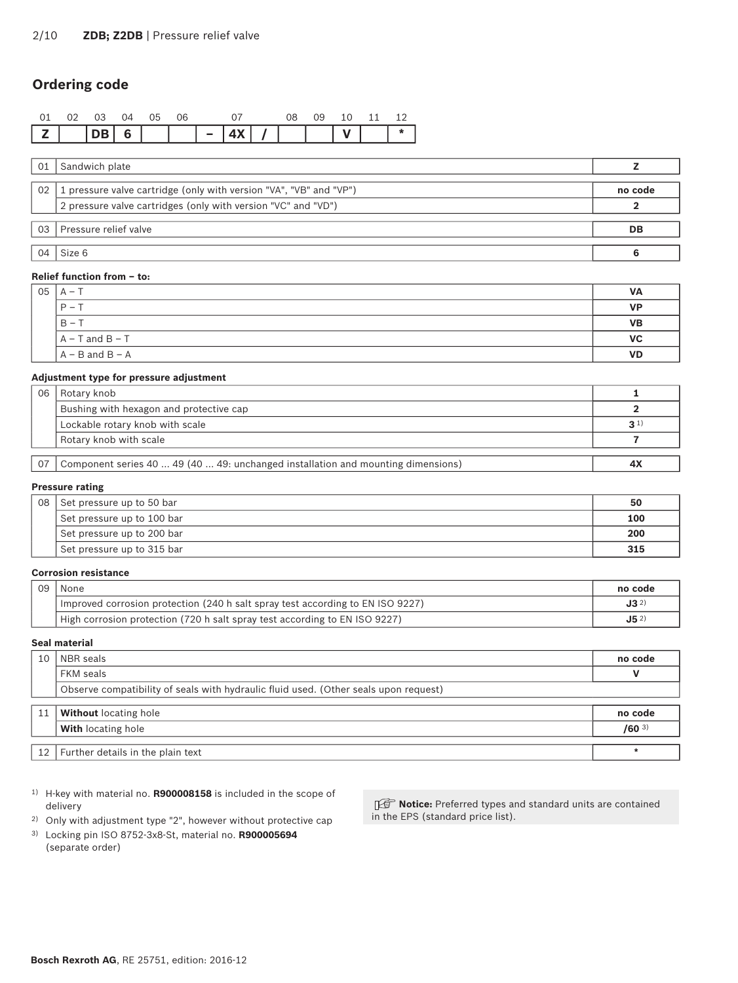## <span id="page-1-0"></span>**Ordering code**

|                   | 0.3   | $\Omega$ | - 05 | 06 |                            |  | 09 | 10 |  |
|-------------------|-------|----------|------|----|----------------------------|--|----|----|--|
| $\vert$ 7 $\vert$ | IDB 6 |          |      |    | $\vert 4X \vert$ / $\vert$ |  |    |    |  |

| 01              | Sandwich plate                                                     |         |
|-----------------|--------------------------------------------------------------------|---------|
| 02 <sub>1</sub> | 1 pressure valve cartridge (only with version "VA", "VB" and "VP") | no code |
|                 | 2 pressure valve cartridges (only with version "VC" and "VD")      |         |
|                 | 03 Pressure relief valve                                           | DB      |
| 04              | Size 6                                                             |         |

#### **Relief function from – to:**

| 05 | $A -$               | VA        |
|----|---------------------|-----------|
|    | $P -$               | <b>VP</b> |
|    | $B - T$             | <b>VB</b> |
|    | $A - T$ and $B - T$ | <b>VC</b> |
|    | $A - B$ and $B - A$ | <b>VD</b> |

#### **Adjustment type for pressure adjustment**

| 06 | Rotary knob                                                                      |                |
|----|----------------------------------------------------------------------------------|----------------|
|    | Bushing with hexagon and protective cap                                          |                |
|    | Lockable rotary knob with scale                                                  | 3 <sup>1</sup> |
|    | Rotary knob with scale                                                           |                |
|    |                                                                                  |                |
| 07 | Component series 40  49 (40  49: unchanged installation and mounting dimensions) | 4X             |

#### **Pressure rating**

| 08 | Set pressure up to 50 bar  | 50  |
|----|----------------------------|-----|
|    | Set pressure up to 100 bar | 100 |
|    | Set pressure up to 200 bar | 200 |
|    | Set pressure up to 315 bar | 315 |

#### **Corrosion resistance**

| 09 | None                                                                           | no code         |
|----|--------------------------------------------------------------------------------|-----------------|
|    | Improved corrosion protection (240 h salt spray test according to EN ISO 9227) | $J3^{2}$        |
|    | High corrosion protection (720 h salt spray test according to EN ISO 9227)     | J5 <sup>2</sup> |

#### **Seal material**

| 10 | NBR seals                                                                            | no code   |
|----|--------------------------------------------------------------------------------------|-----------|
|    | FKM seals                                                                            |           |
|    | Observe compatibility of seals with hydraulic fluid used. (Other seals upon request) |           |
|    |                                                                                      |           |
| 11 | <b>Without</b> locating hole                                                         | no code   |
|    | <b>With locating hole</b>                                                            | $/60^{3}$ |
|    |                                                                                      |           |
|    | 12   Further details in the plain text                                               |           |

- 1) H-key with material no. **R900008158** is included in the scope of delivery
- 2) Only with adjustment type "2", however without protective cap
- 3) Locking pin ISO 8752-3x8-St, material no. **R900005694** (separate order)

**IG Notice:** Preferred types and standard units are contained in the EPS (standard price list).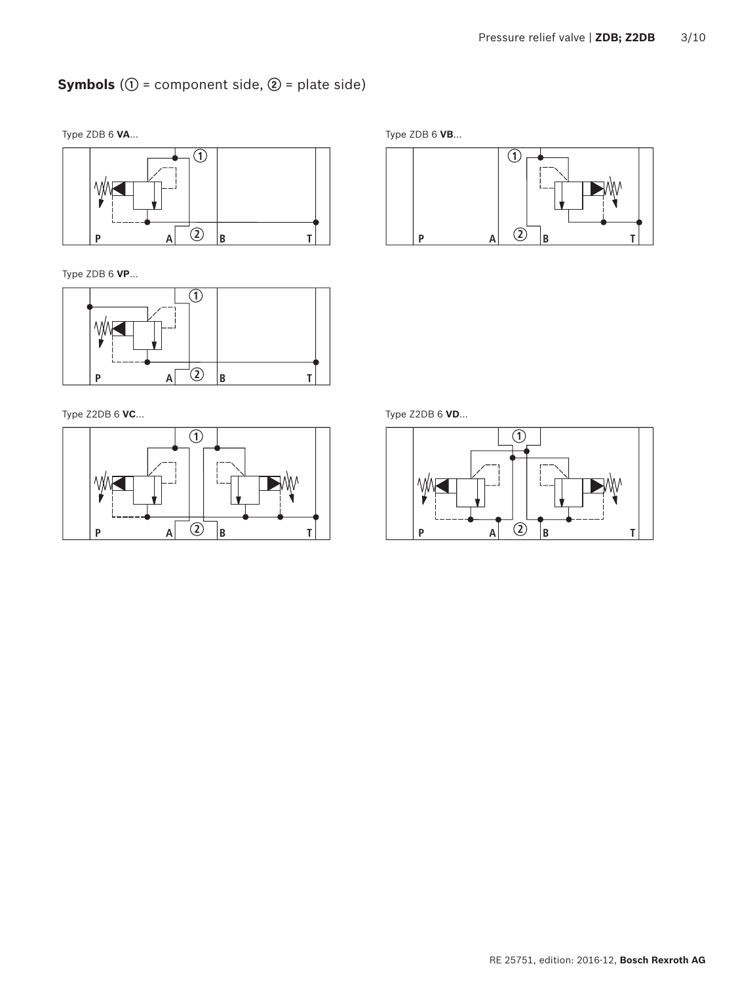## <span id="page-2-0"></span>**Symbols** (**①** = component side, **②** = plate side)

Type ZDB 6 **VA**... Type ZDB 6 **VB**...



Type ZDB 6 **VP**...



Type Z2DB 6 **VC**... Type Z2DB 6 **VD**...





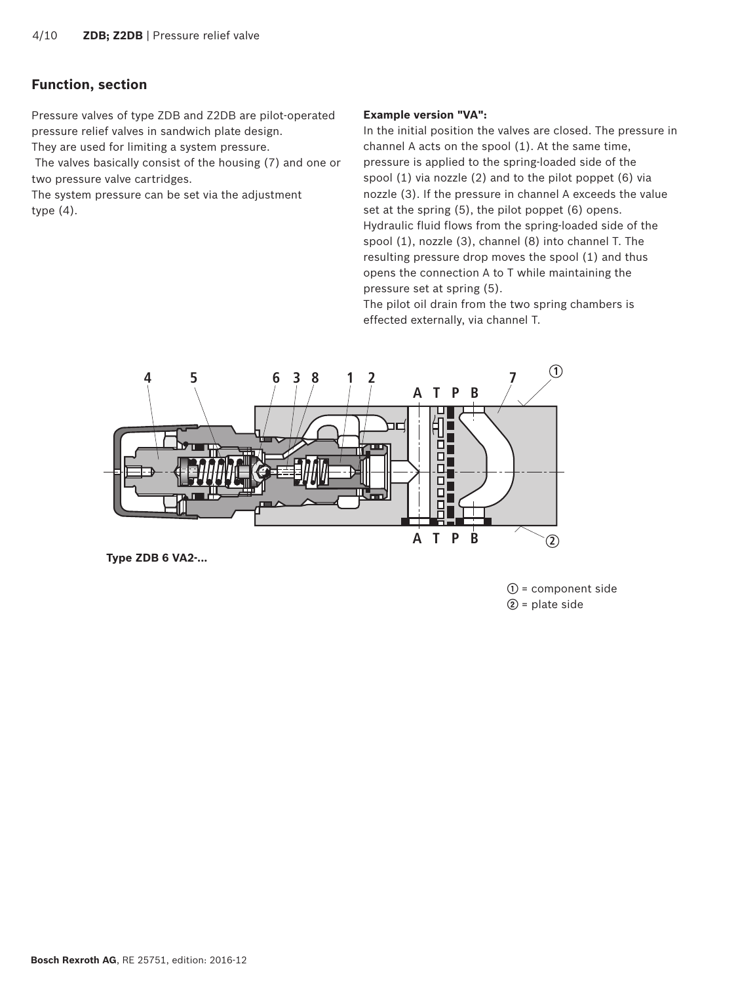## <span id="page-3-0"></span>**Function, section**

Pressure valves of type ZDB and Z2DB are pilot-operated pressure relief valves in sandwich plate design.

They are used for limiting a system pressure.

 The valves basically consist of the housing (7) and one or two pressure valve cartridges.

The system pressure can be set via the adjustment type (4).

#### **Example version "VA":**

In the initial position the valves are closed. The pressure in channel A acts on the spool (1). At the same time, pressure is applied to the spring-loaded side of the spool (1) via nozzle (2) and to the pilot poppet (6) via nozzle (3). If the pressure in channel A exceeds the value set at the spring (5), the pilot poppet (6) opens. Hydraulic fluid flows from the spring-loaded side of the spool (1), nozzle (3), channel (8) into channel T. The resulting pressure drop moves the spool (1) and thus opens the connection A to T while maintaining the pressure set at spring (5).

The pilot oil drain from the two spring chambers is effected externally, via channel T.



**Type ZDB 6 VA2-...**

**①** = component side **②** = plate side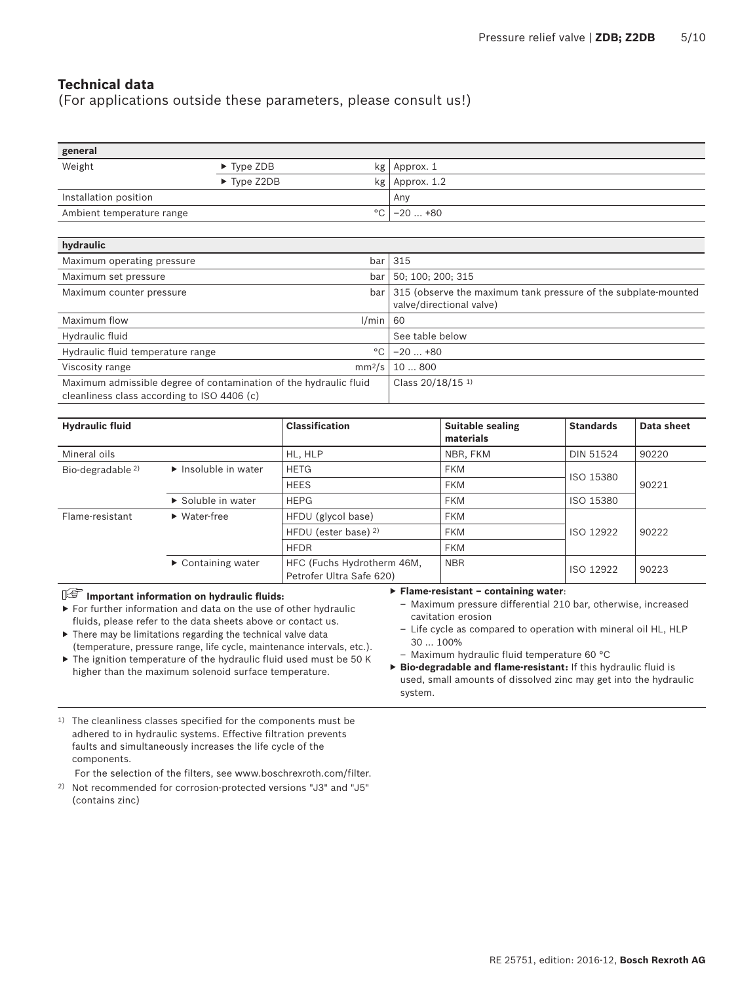## <span id="page-4-0"></span>**Technical data**

(For applications outside these parameters, please consult us!)

| general                   |                                |     |                    |
|---------------------------|--------------------------------|-----|--------------------|
| Weight                    | $\blacktriangleright$ Type ZDB |     | $kg$   Approx. 1   |
|                           | $\triangleright$ Type Z2DB     |     | $kg$   Approx. 1.2 |
| Installation position     |                                | Any |                    |
| Ambient temperature range |                                |     | °C   –20  +80      |

| hydraulic                                                                                                        |                    |                                                                                            |
|------------------------------------------------------------------------------------------------------------------|--------------------|--------------------------------------------------------------------------------------------|
| Maximum operating pressure                                                                                       | bar                | 315                                                                                        |
| Maximum set pressure                                                                                             | bar                | 50; 100; 200; 315                                                                          |
| Maximum counter pressure                                                                                         | bar                | 315 (observe the maximum tank pressure of the subplate-mounted<br>valve/directional valve) |
| Maximum flow                                                                                                     | l/min              | 60                                                                                         |
| Hydraulic fluid                                                                                                  |                    | See table below                                                                            |
| Hydraulic fluid temperature range                                                                                | °C                 | $-20+80$                                                                                   |
| Viscosity range                                                                                                  | mm <sup>2</sup> /s | 10800                                                                                      |
| Maximum admissible degree of contamination of the hydraulic fluid<br>cleanliness class according to ISO 4406 (c) |                    | Class 20/18/15 <sup>1)</sup>                                                               |

| <b>Hydraulic fluid</b>       |                                          | <b>Classification</b>                                  | <b>Suitable sealing</b><br>materials | <b>Standards</b> | Data sheet |
|------------------------------|------------------------------------------|--------------------------------------------------------|--------------------------------------|------------------|------------|
| Mineral oils                 |                                          | HL, HLP                                                | NBR, FKM                             | <b>DIN 51524</b> | 90220      |
| Bio-degradable <sup>2)</sup> | $\blacktriangleright$ Insoluble in water | <b>HETG</b>                                            | <b>FKM</b>                           | ISO 15380        |            |
|                              |                                          | <b>HEES</b>                                            | <b>FKM</b>                           |                  | 90221      |
|                              | $\triangleright$ Soluble in water        | <b>HEPG</b>                                            | <b>FKM</b>                           | ISO 15380        |            |
| Flame-resistant              | $\blacktriangleright$ Water-free         | HFDU (glycol base)                                     | <b>FKM</b>                           |                  |            |
|                              |                                          | HFDU (ester base) 2)                                   | <b>FKM</b>                           | ISO 12922        | 90222      |
|                              |                                          | <b>HFDR</b>                                            | <b>FKM</b>                           |                  |            |
|                              | $\triangleright$ Containing water        | HFC (Fuchs Hydrotherm 46M,<br>Petrofer Ultra Safe 620) | <b>NBR</b>                           | ISO 12922        | 90223      |

#### **Important information on hydraulic fluids:**

▶ For further information and data on the use of other hydraulic fluids, please refer to the data sheets above or contact us.

 $\blacktriangleright$  There may be limitations regarding the technical valve data (temperature, pressure range, life cycle, maintenance intervals, etc.). ▶ The ignition temperature of the hydraulic fluid used must be 50 K higher than the maximum solenoid surface temperature.

#### ▶ **Flame-resistant – containing water**:

- Maximum pressure differential 210 bar, otherwise, increased cavitation erosion
- Life cycle as compared to operation with mineral oil HL, HLP 30 … 100%
- Maximum hydraulic fluid temperature 60 °C
- ▶ **Bio-degradable and flame-resistant:** If this hydraulic fluid is used, small amounts of dissolved zinc may get into the hydraulic system.
- <sup>1)</sup> The cleanliness classes specified for the components must be adhered to in hydraulic systems. Effective filtration prevents faults and simultaneously increases the life cycle of the components.

For the selection of the filters, see www.boschrexroth.com/filter.

2) Not recommended for corrosion-protected versions "J3" and "J5" (contains zinc)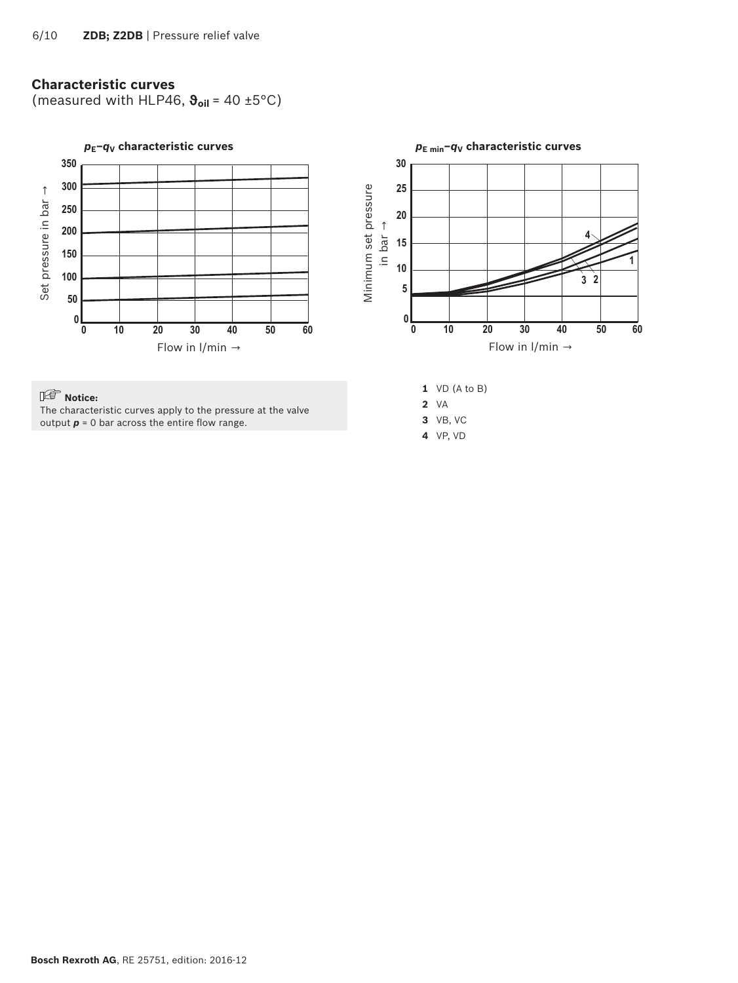## <span id="page-5-0"></span>**Characteristic curves**

(measured with HLP46, **ϑoil** = 40 ±5°C)

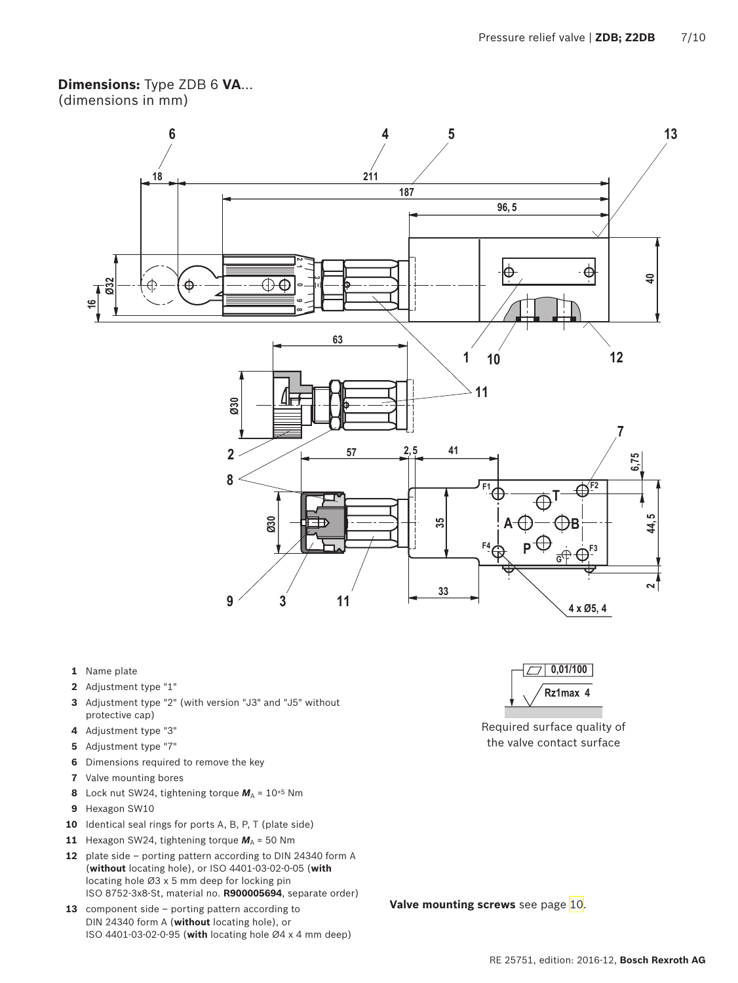#### <span id="page-6-0"></span>**Dimensions:** Type ZDB 6 **VA**... (dimensions in mm)



- **1** Name plate
- **2** Adjustment type "1"
- **3** Adjustment type "2" (with version "J3" and "J5" without protective cap)
- **4** Adjustment type "3"
- **5** Adjustment type "7"
- **6** Dimensions required to remove the key
- **7** Valve mounting bores
- **8** Lock nut SW24, tightening torque  $M_A = 10^{+5}$  Nm
- **9** Hexagon SW10
- **10** Identical seal rings for ports A, B, P, T (plate side)
- **11** Hexagon SW24, tightening torque  $M_A$  = 50 Nm
- **12** plate side porting pattern according to DIN 24340 form A (**without** locating hole), or ISO 4401-03-02-0-05 (**with**  locating hole Ø3 x 5 mm deep for locking pin ISO 8752-3x8-St, material no. **R900005694**, separate order)
- 13 component side porting pattern according to DIN 24340 form A (**without** locating hole), or ISO 4401-03-02-0-95 (**with** locating hole Ø4 x 4 mm deep)



Required surface quality of the valve contact surface

**Valve mounting screws** see page [10.](#page-9-1)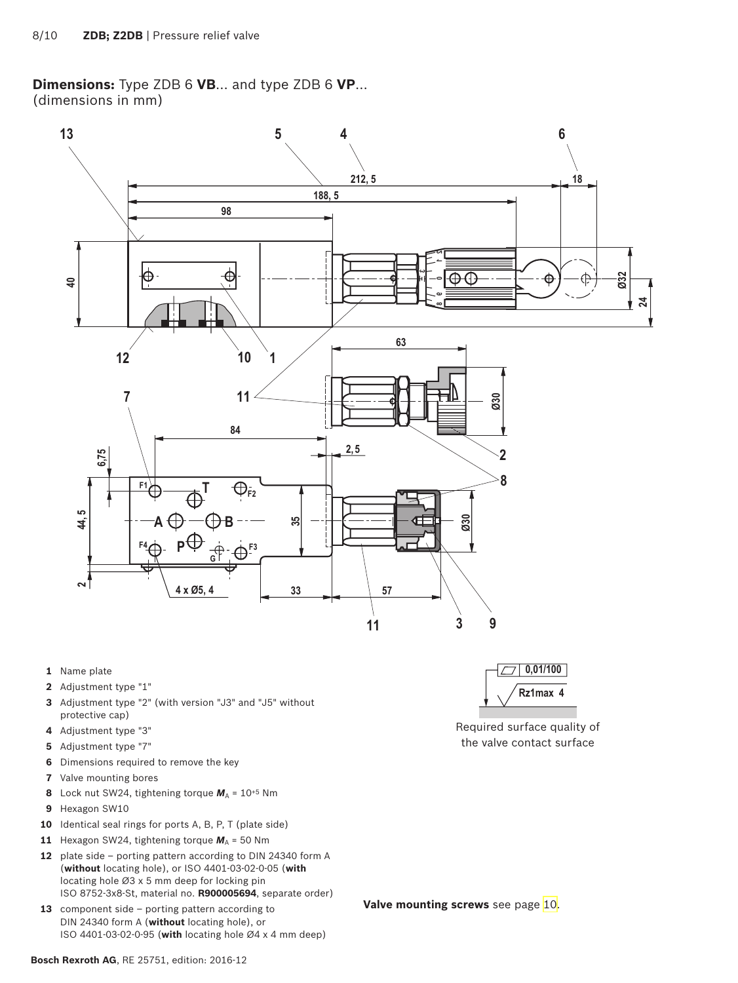<span id="page-7-0"></span>**Dimensions:** Type ZDB 6 **VB**... and type ZDB 6 **VP**... (dimensions in mm)



- **1** Name plate
- **2** Adjustment type "1"
- **3** Adjustment type "2" (with version "J3" and "J5" without protective cap)
- **4** Adjustment type "3"
- **5** Adjustment type "7"
- **6** Dimensions required to remove the key
- **7** Valve mounting bores
- **8** Lock nut SW24, tightening torque  $M_A = 10^{+5}$  Nm
- **9** Hexagon SW10
- **10** Identical seal rings for ports A, B, P, T (plate side)
- **11** Hexagon SW24, tightening torque  $M_A$  = 50 Nm
- **12** plate side porting pattern according to DIN 24340 form A (**without** locating hole), or ISO 4401-03-02-0-05 (**with**  locating hole Ø3 x 5 mm deep for locking pin ISO 8752-3x8-St, material no. **R900005694**, separate order)
- 13 component side porting pattern according to DIN 24340 form A (**without** locating hole), or ISO 4401-03-02-0-95 (**with** locating hole Ø4 x 4 mm deep)



Required surface quality of the valve contact surface

**Valve mounting screws** see page [10.](#page-9-1)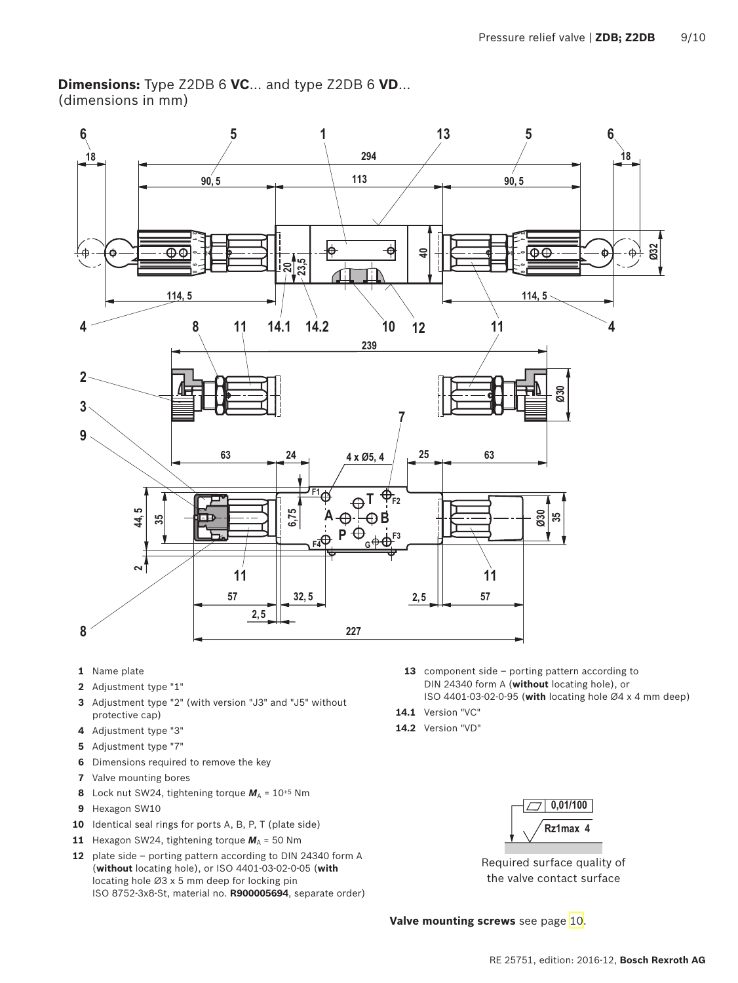<span id="page-8-0"></span>**Dimensions:** Type Z2DB 6 **VC**... and type Z2DB 6 **VD**... (dimensions in mm)



- **1** Name plate
- **2** Adjustment type "1"
- **3** Adjustment type "2" (with version "J3" and "J5" without protective cap)
- **4** Adjustment type "3"
- **5** Adjustment type "7"
- **6** Dimensions required to remove the key
- **7** Valve mounting bores
- **8** Lock nut SW24, tightening torque  $M_A = 10^{+5}$  Nm
- **9** Hexagon SW10
- **10** Identical seal rings for ports A, B, P, T (plate side)
- **11** Hexagon SW24, tightening torque  $M_A$  = 50 Nm
- **12** plate side porting pattern according to DIN 24340 form A (**without** locating hole), or ISO 4401-03-02-0-05 (**with**  locating hole Ø3 x 5 mm deep for locking pin ISO 8752-3x8-St, material no. **R900005694**, separate order)
- **13** component side porting pattern according to DIN 24340 form A (**without** locating hole), or ISO 4401-03-02-0-95 (**with** locating hole Ø4 x 4 mm deep)
- **14.1** Version "VC"
- **14.2** Version "VD"



Required surface quality of the valve contact surface

**Valve mounting screws** see page [10.](#page-9-1)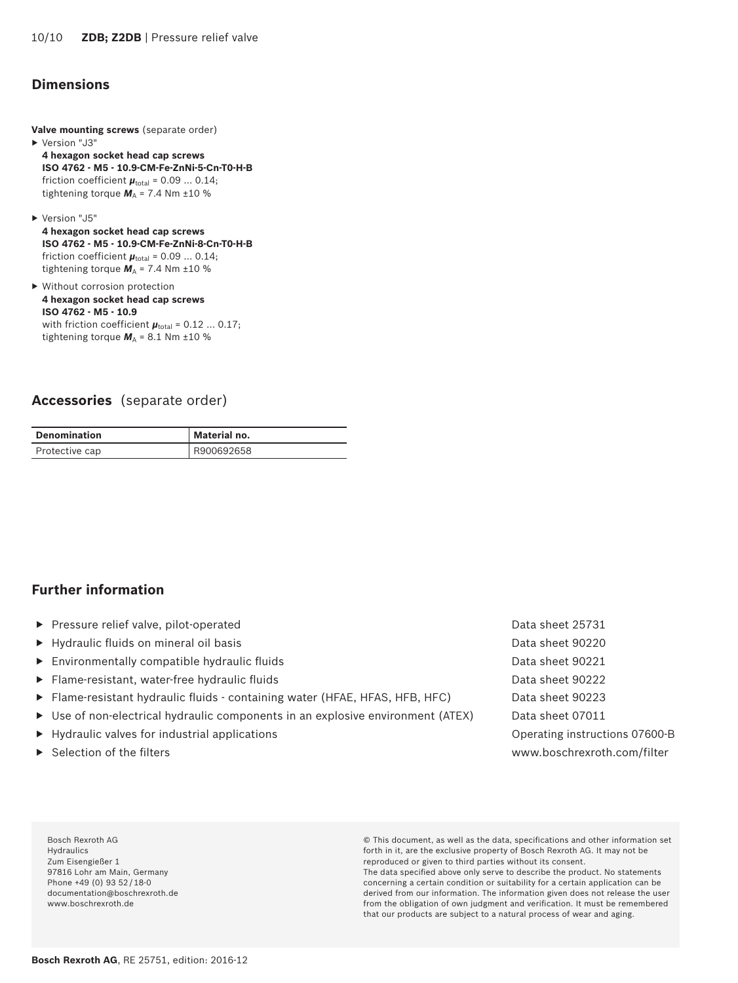## <span id="page-9-1"></span><span id="page-9-0"></span>**Dimensions**

- **Valve mounting screws** (separate order) ▶ Version "J3"
- **4 hexagon socket head cap screws ISO 4762 - M5 - 10.9-CM-Fe-ZnNi-5-Cn-T0-H-B** friction coefficient  $\boldsymbol{\mu}_{\text{total}}$  = 0.09 ... 0.14; tightening torque  $M_A$  = 7.4 Nm  $\pm$ 10 %
- ▶ Version "J5"
- **4 hexagon socket head cap screws ISO 4762 - M5 - 10.9-CM-Fe-ZnNi-8-Cn-T0-H-B** friction coefficient  $\boldsymbol{\mu}_{\text{total}}$  = 0.09 ... 0.14; tightening torque  $M_A$  = 7.4 Nm  $\pm 10$  %
- ▶ Without corrosion protection **4 hexagon socket head cap screws ISO 4762 - M5 - 10.9** with friction coefficient  $\boldsymbol{\mu}_{total}$  = 0.12 ... 0.17; tightening torque  $M_A$  = 8.1 Nm  $\pm$ 10 %

#### **Accessories** (separate order)

| <b>Denomination</b> | Material no. |
|---------------------|--------------|
| Protective cap      | R900692658   |

#### **Further information**

- ▶ Pressure relief valve, pilot-operated Data sheet 25731
- ▶ Hydraulic fluids on mineral oil basis Data sheet 90220
- ▶ Environmentally compatible hydraulic fluids Data sheet 90221
- ▶ Flame-resistant, water-free hydraulic fluids Data sheet 90222
- ▶ Flame-resistant hydraulic fluids containing water (HFAE, HFAS, HFB, HFC) Data sheet 90223
- ▶ Use of non-electrical hydraulic components in an explosive environment (ATEX) Data sheet 07011
- ▶ Hydraulic valves for industrial applications Operating instructions 07600-B
- 

▶ Selection of the filters www.boschrexroth.com/filter

Bosch Rexroth AG Hydraulics Zum Eisengießer 1 97816 Lohr am Main, Germany Phone +49 (0) 93 52 / 18-0 documentation@boschrexroth.de www.boschrexroth.de

© This document, as well as the data, specifications and other information set forth in it, are the exclusive property of Bosch Rexroth AG. It may not be reproduced or given to third parties without its consent.

The data specified above only serve to describe the product. No statements concerning a certain condition or suitability for a certain application can be derived from our information. The information given does not release the user from the obligation of own judgment and verification. It must be remembered that our products are subject to a natural process of wear and aging.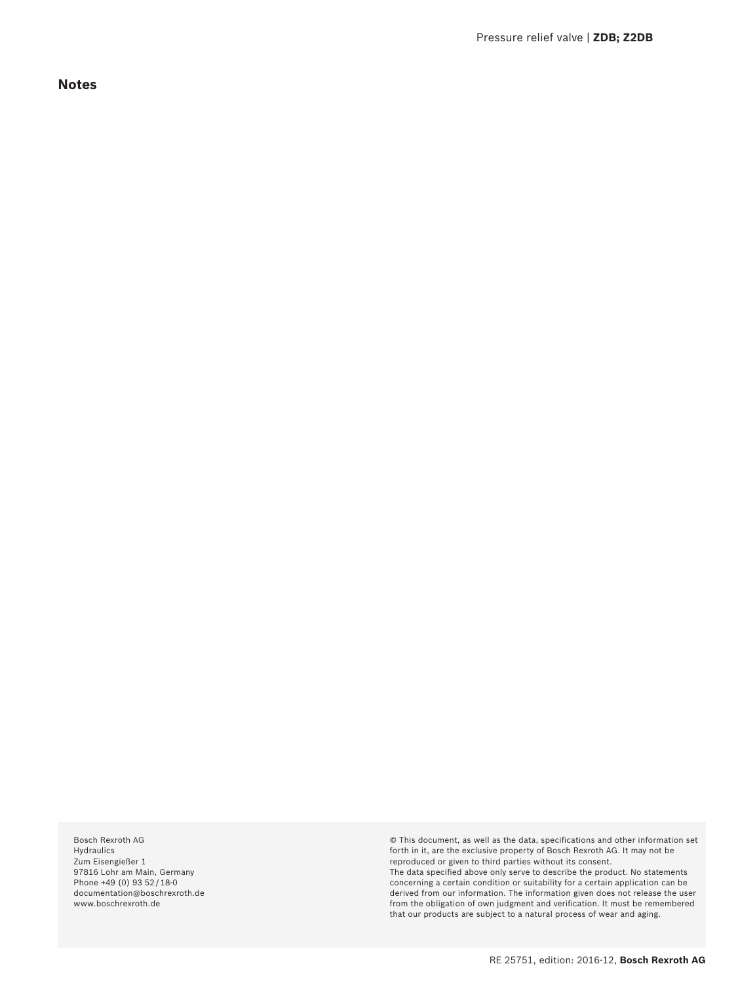<span id="page-10-0"></span>**Notes**

Bosch Rexroth AG Hydraulics Zum Eisengießer 1 97816 Lohr am Main, Germany Phone +49 (0) 93 52 / 18-0 documentation@boschrexroth.de www.boschrexroth.de

© This document, as well as the data, specifications and other information set forth in it, are the exclusive property of Bosch Rexroth AG. It may not be reproduced or given to third parties without its consent. The data specified above only serve to describe the product. No statements concerning a certain condition or suitability for a certain application can be derived from our information. The information given does not release the user from the obligation of own judgment and verification. It must be remembered

that our products are subject to a natural process of wear and aging.